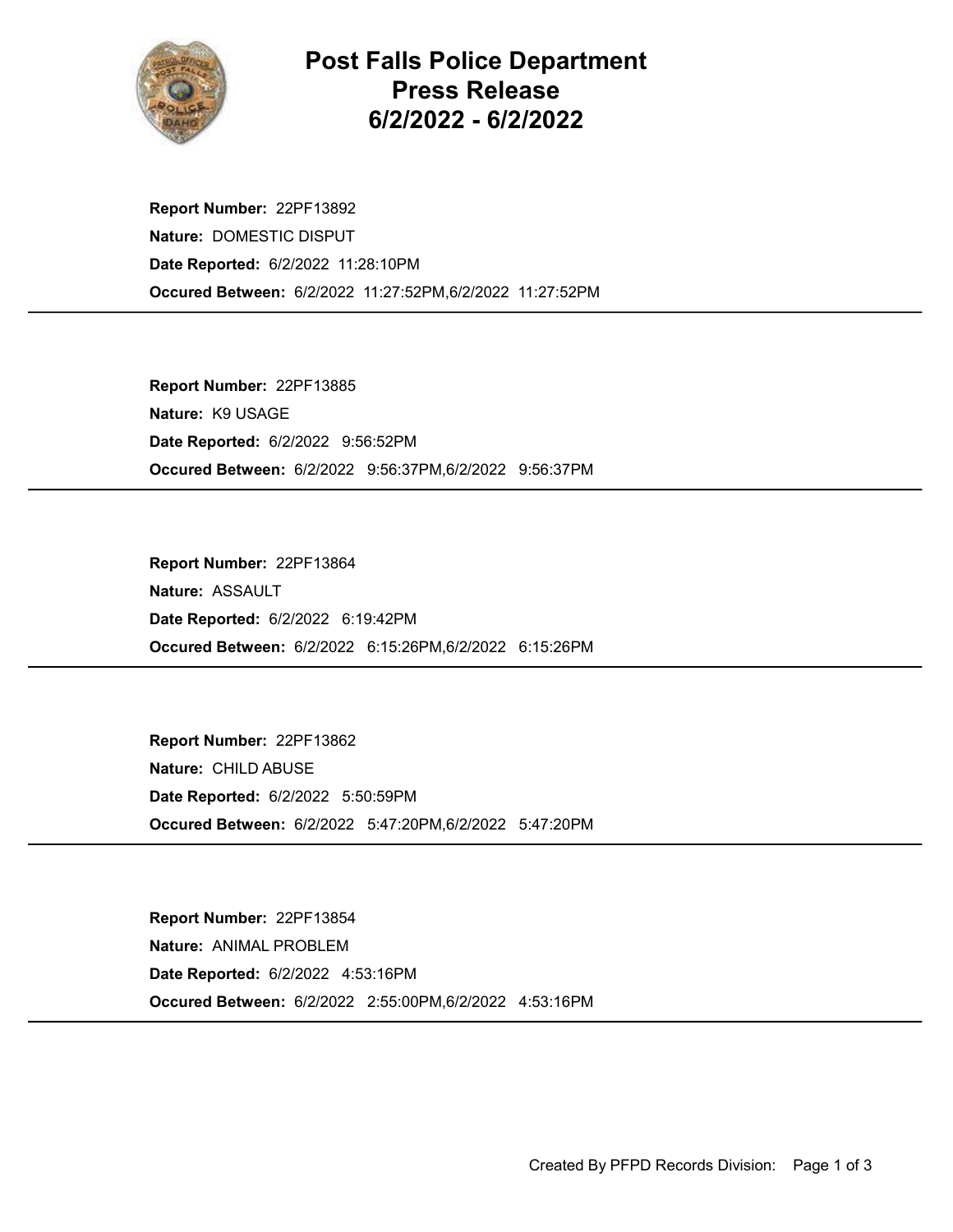

Post Falls Police Department Press Release 6/2/2022 - 6/2/2022

Occured Between: 6/2/2022 11:27:52PM,6/2/2022 11:27:52PM Report Number: 22PF13892 Nature: DOMESTIC DISPUT Date Reported: 6/2/2022 11:28:10PM

Occured Between: 6/2/2022 9:56:37PM,6/2/2022 9:56:37PM Report Number: 22PF13885 Nature: K9 USAGE Date Reported: 6/2/2022 9:56:52PM

Occured Between: 6/2/2022 6:15:26PM,6/2/2022 6:15:26PM Report Number: 22PF13864 Nature: ASSAULT Date Reported: 6/2/2022 6:19:42PM

Occured Between: 6/2/2022 5:47:20PM,6/2/2022 5:47:20PM Report Number: 22PF13862 Nature: CHILD ABUSE Date Reported: 6/2/2022 5:50:59PM

Occured Between: 6/2/2022 2:55:00PM,6/2/2022 4:53:16PM Report Number: 22PF13854 Nature: ANIMAL PROBLEM Date Reported: 6/2/2022 4:53:16PM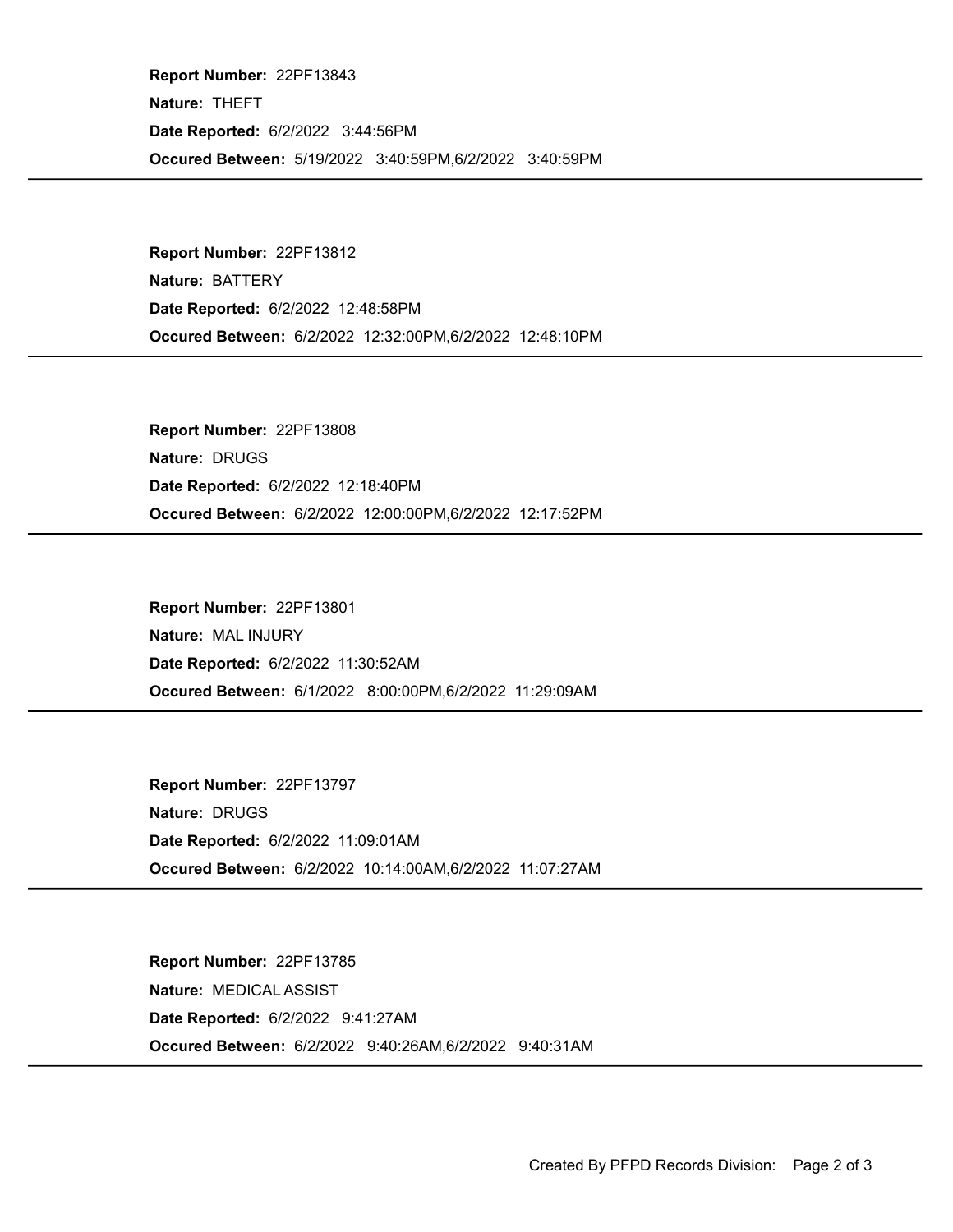Occured Between: 5/19/2022 3:40:59PM,6/2/2022 3:40:59PM Report Number: 22PF13843 Nature: THEFT Date Reported: 6/2/2022 3:44:56PM

Occured Between: 6/2/2022 12:32:00PM,6/2/2022 12:48:10PM Report Number: 22PF13812 Nature: BATTERY Date Reported: 6/2/2022 12:48:58PM

Occured Between: 6/2/2022 12:00:00PM,6/2/2022 12:17:52PM Report Number: 22PF13808 Nature: DRUGS Date Reported: 6/2/2022 12:18:40PM

Occured Between: 6/1/2022 8:00:00PM,6/2/2022 11:29:09AM Report Number: 22PF13801 Nature: MAL INJURY Date Reported: 6/2/2022 11:30:52AM

Occured Between: 6/2/2022 10:14:00AM,6/2/2022 11:07:27AM Report Number: 22PF13797 Nature: DRUGS Date Reported: 6/2/2022 11:09:01AM

Occured Between: 6/2/2022 9:40:26AM,6/2/2022 9:40:31AM Report Number: 22PF13785 Nature: MEDICAL ASSIST Date Reported: 6/2/2022 9:41:27AM